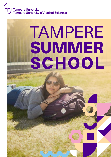# Tampere University<br>Tampere University of Applied Sciences

## **TAMPERE** SUMMER SCHOOL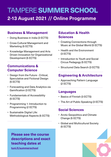## TAMPERE SUMMER SCHOOL **2-13 August 2021 // Online Programme**

#### **Business & Management**

- Doing Business in India (3 ECTS)
- Cross Cultural Management and Marketing (5 ECTS)
- Knowledge Management and Arts Driven Innovation for Organizational Development (5 ECTS)

#### **Communications & Computer Science**

- Design from the Future Critical, Speculative and Fictional Design (5 ECTS)
- Forecasting and Data Analytics via Gamification (3 ECTS)
- Fundamentals of Accessibility (5 ECTS)
- Programming 1: Introduction to Programming (2 ECTS)
- Sustainable Digital Life: Methodological Aspects (5 ECTS)

## **Sciences**

- Creating Connections through Music at the Global World (5 ECTS)
- Health and the Environment (3 ECTS)

**Education & Health** 

- Introduction to Youth and Social Circus Pedagogy (5 ECTS)
- Structured Data Search (3 ECTS)

#### **Engineering & Architecture**

• Approaching Pattern Language (2 ECTS)

#### **Languages**

- Basics of Finnish (3 ECTS)
- The Art of Public Speaking (3 ECTS)

#### **Social Sciences**

- Arctic Geopolitics and Climate Change (5 ECTS)
- Global and Multicultural Society (5 ECTS)



#### **Please see the course descriptions and exact teaching dates at**

**[tuni.fi/summerschool](https://www.tuni.fi/en/study-with-us/summer-school)**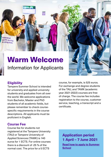Potential earth saving in progress.

## Warm Welcome Information for Applicants

#### **Eligibility**

Tampere Summer School is intended for university and applied university students and graduates from all over the world. We welcome applications from Bachelor, Master and PhD students of all academic fields, but please remember to check coursespecific requirements in the course descriptions. All applicants must be proficient in English.

#### course, for example, is 525 euros. For exchange and degree students of the TAU, and TAMK (academic year 2021-2022) courses are free of charge. The course fee includes registration to the course, customer service, teaching, a transcript and a certificate.

#### **Course Fee**

Course fee for students not registered at the Tampere University (TAU) or Tampere University of Applied Sciences (TAMK) is 140 euros for 1 ECTS. For online courses there is a discount of -25 % of the normal cost. The price for a 5 ECTS

**Application period 1 April – 7 June 2021 [Read how to apply to Summer](https://www.tuni.fi/en/study-with-us/summer-school/how-to-apply)  [School](https://www.tuni.fi/en/study-with-us/summer-school/how-to-apply)**